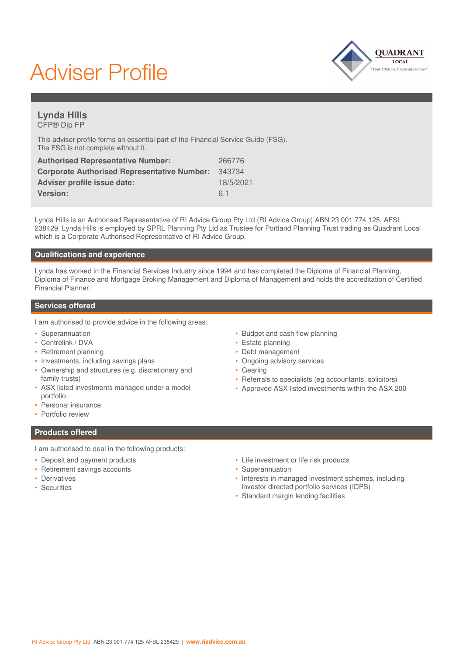# Adviser Profile



## **Lynda Hills** CFP® Dip FP

This adviser profile forms an essential part of the Financial Service Guide (FSG). The FSG is not complete without it.

| <b>Authorised Representative Number:</b>           | 266776    |
|----------------------------------------------------|-----------|
| <b>Corporate Authorised Representative Number:</b> | 343734    |
| Adviser profile issue date:                        | 18/5/2021 |
| Version:                                           | 61        |

Lynda Hills is an Authorised Representative of RI Advice Group Pty Ltd (RI Advice Group) ABN 23 001 774 125, AFSL 238429. Lynda Hills is employed by SPRL Planning Pty Ltd as Trustee for Portland Planning Trust trading as Quadrant Local which is a Corporate Authorised Representative of RI Advice Group.

### **Qualifications and experience**

Lynda has worked in the Financial Services Industry since 1994 and has completed the Diploma of Financial Planning, Diploma of Finance and Mortgage Broking Management and Diploma of Management and holds the accreditation of Certified Financial Planner.

#### **Services offered**

I am authorised to provide advice in the following areas:

- Superannuation
- Centrelink / DVA
- Retirement planning
- Investments, including savings plans
- Ownership and structures (e.g. discretionary and family trusts)
- ASX listed investments managed under a model portfolio
- Personal insurance
- Portfolio review

• Debt management • Ongoing advisory services

• Estate planning

• Budget and cash flow planning

- Gearing
- Referrals to specialists (eg accountants, solicitors)
- Approved ASX listed investments within the ASX 200

- **Products offered**
- I am authorised to deal in the following products:
- Deposit and payment products
- Retirement savings accounts
- Derivatives
- Securities
- Life investment or life risk products
- Superannuation
- Interests in managed investment schemes, including investor directed portfolio services (IDPS)
- Standard margin lending facilities